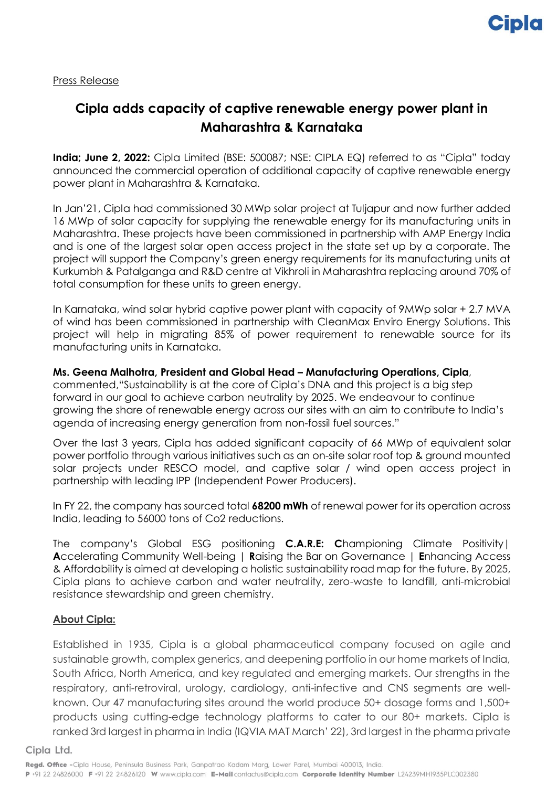Press Release

## **Cipla adds capacity of captive renewable energy power plant in Maharashtra & Karnataka**

**India; June 2, 2022:** Cipla Limited (BSE: 500087; NSE: CIPLA EQ) referred to as "Cipla" today announced the commercial operation of additional capacity of captive renewable energy power plant in Maharashtra & Karnataka.

In Jan'21, Cipla had commissioned 30 MWp solar project at Tuljapur and now further added 16 MWp of solar capacity for supplying the renewable energy for its manufacturing units in Maharashtra. These projects have been commissioned in partnership with AMP Energy India and is one of the largest solar open access project in the state set up by a corporate. The project will support the Company's green energy requirements for its manufacturing units at Kurkumbh & Patalganga and R&D centre at Vikhroli in Maharashtra replacing around 70% of total consumption for these units to green energy.

In Karnataka, wind solar hybrid captive power plant with capacity of 9MWp solar + 2.7 MVA of wind has been commissioned in partnership with CleanMax Enviro Energy Solutions. This project will help in migrating 85% of power requirement to renewable source for its manufacturing units in Karnataka.

**Ms. Geena Malhotra, President and Global Head – Manufacturing Operations, Cipla**, commented,"Sustainability is at the core of Cipla's DNA and this project is a big step forward in our goal to achieve carbon neutrality by 2025. We endeavour to continue growing the share of renewable energy across our sites with an aim to contribute to India's agenda of increasing energy generation from non-fossil fuel sources."

Over the last 3 years, Cipla has added significant capacity of 66 MWp of equivalent solar power portfolio through various initiatives such as an on-site solar roof top & ground mounted solar projects under RESCO model, and captive solar / wind open access project in partnership with leading IPP (Independent Power Producers).

In FY 22, the company has sourced total **68200 mWh** of renewal power for its operation across India, leading to 56000 tons of Co2 reductions.

The company's Global ESG positioning **C.A.R.E: C**hampioning Climate Positivity| **A**ccelerating Community Well-being | **R**aising the Bar on Governance | **E**nhancing Access & Affordability is aimed at developing a holistic sustainability road map for the future. By 2025, Cipla plans to achieve carbon and water neutrality, zero-waste to landfill, anti-microbial resistance stewardship and green chemistry.

## **About Cipla:**

Established in 1935, Cipla is a global pharmaceutical company focused on agile and sustainable growth, complex generics, and deepening portfolio in our home markets of India, South Africa, North America, and key regulated and emerging markets. Our strengths in the respiratory, anti-retroviral, urology, cardiology, anti-infective and CNS segments are wellknown. Our 47 manufacturing sites around the world produce 50+ dosage forms and 1,500+ products using cutting-edge technology platforms to cater to our 80+ markets. Cipla is ranked 3rd largest in pharma in India (IQVIA MAT March' 22), 3rd largest in the pharma private

Cipla Ltd.